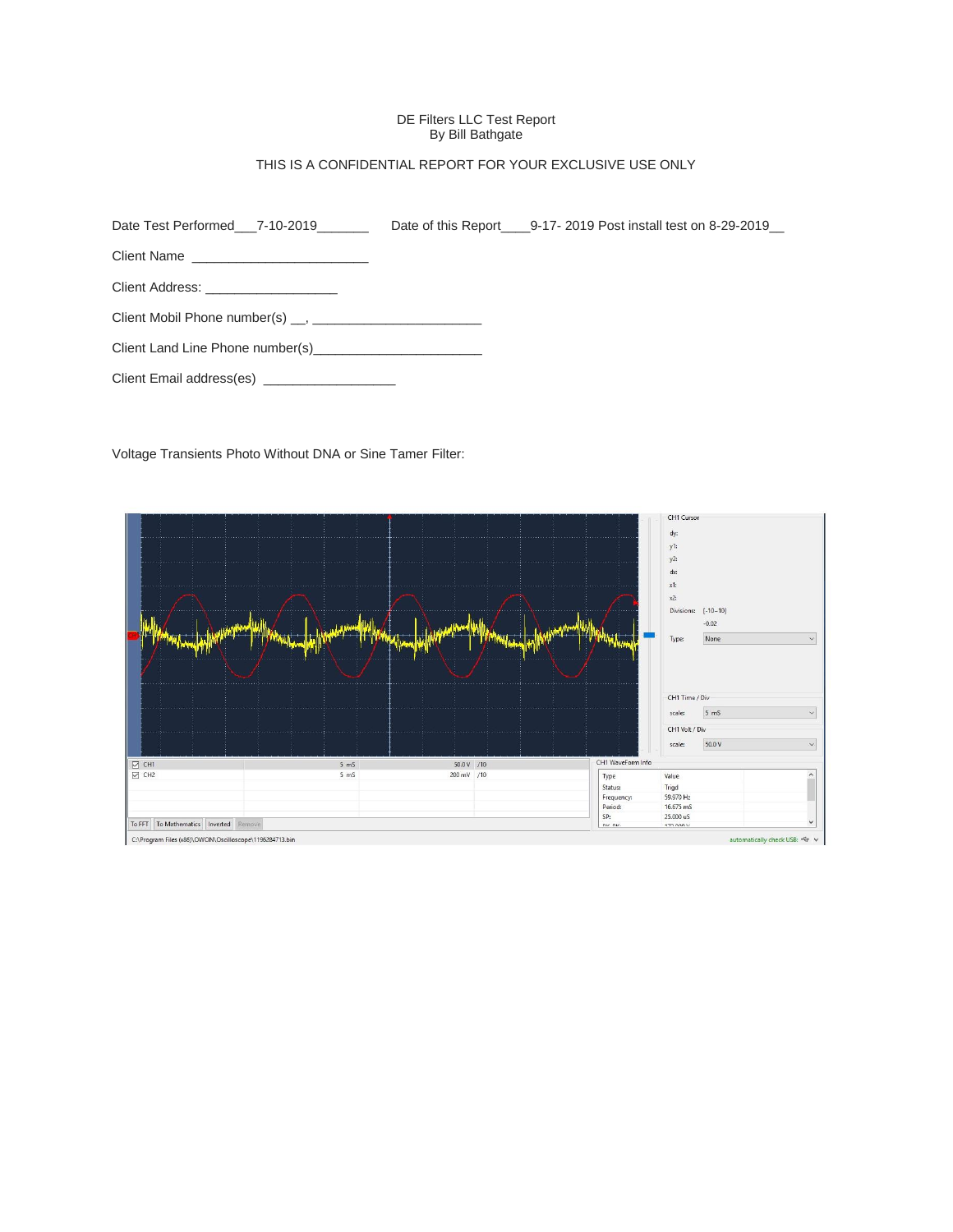# DE Filters LLC Test Report By Bill Bathgate

# THIS IS A CONFIDENTIAL REPORT FOR YOUR EXCLUSIVE USE ONLY

| Date Test Performed 7-10-2019                 | Date of this Report 9-17-2019 Post install test on 8-29-2019 |
|-----------------------------------------------|--------------------------------------------------------------|
|                                               |                                                              |
| Client Address: ____________________          |                                                              |
|                                               |                                                              |
| Client Land Line Phone number(s)              |                                                              |
| Client Email address(es) ____________________ |                                                              |

Voltage Transients Photo Without DNA or Sine Tamer Filter:

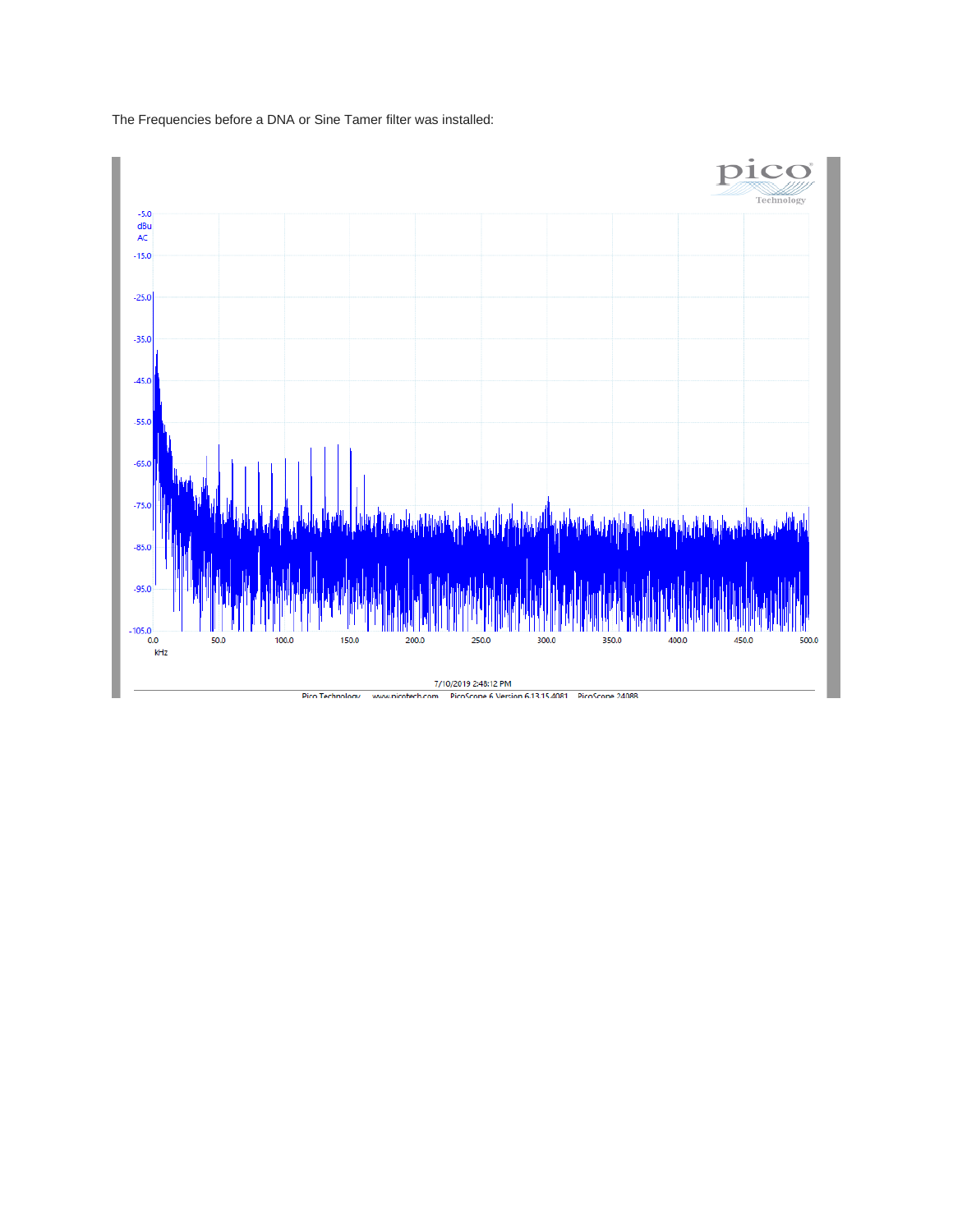

The Frequencies before a DNA or Sine Tamer filter was installed: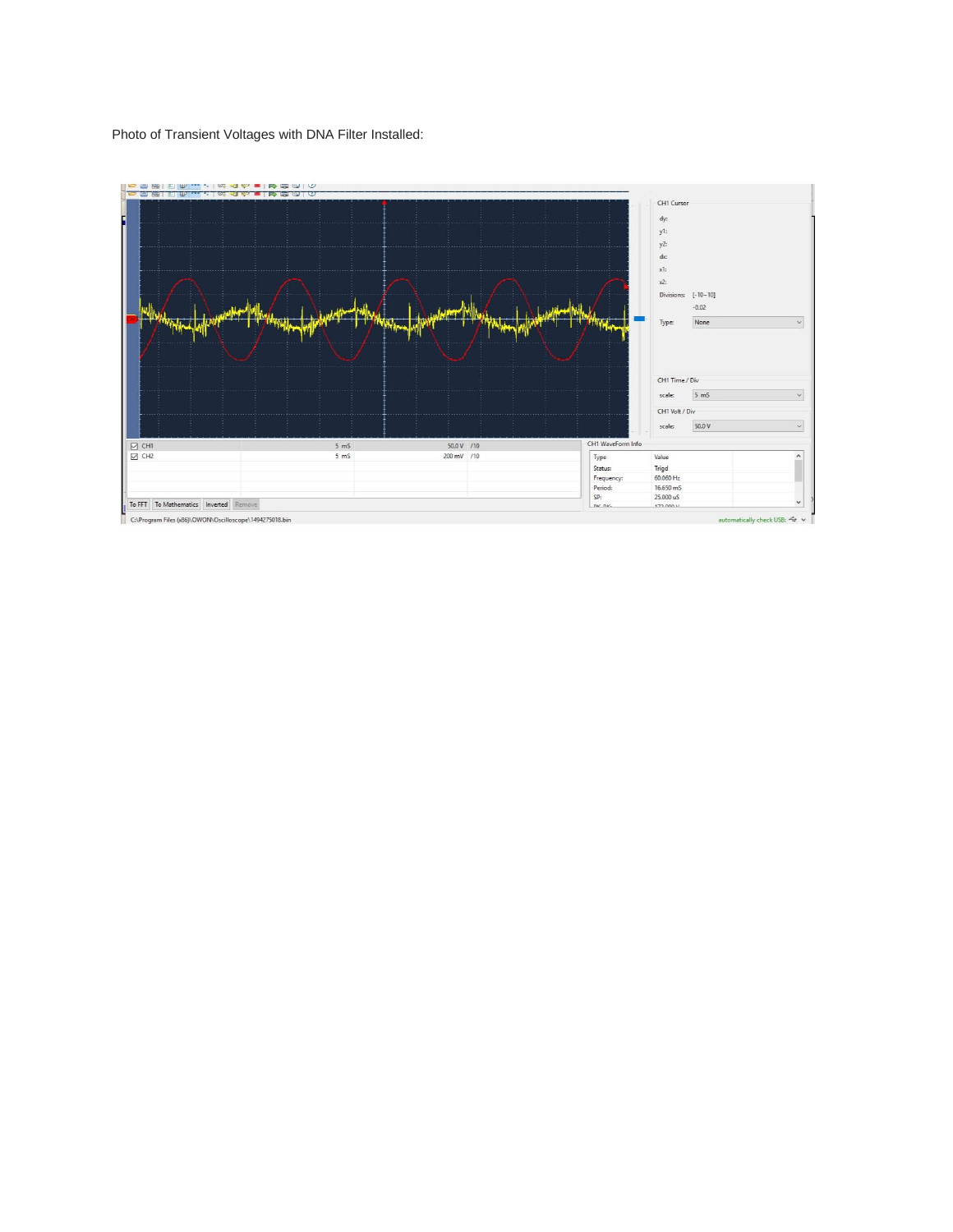# Photo of Transient Voltages with DNA Filter Installed:

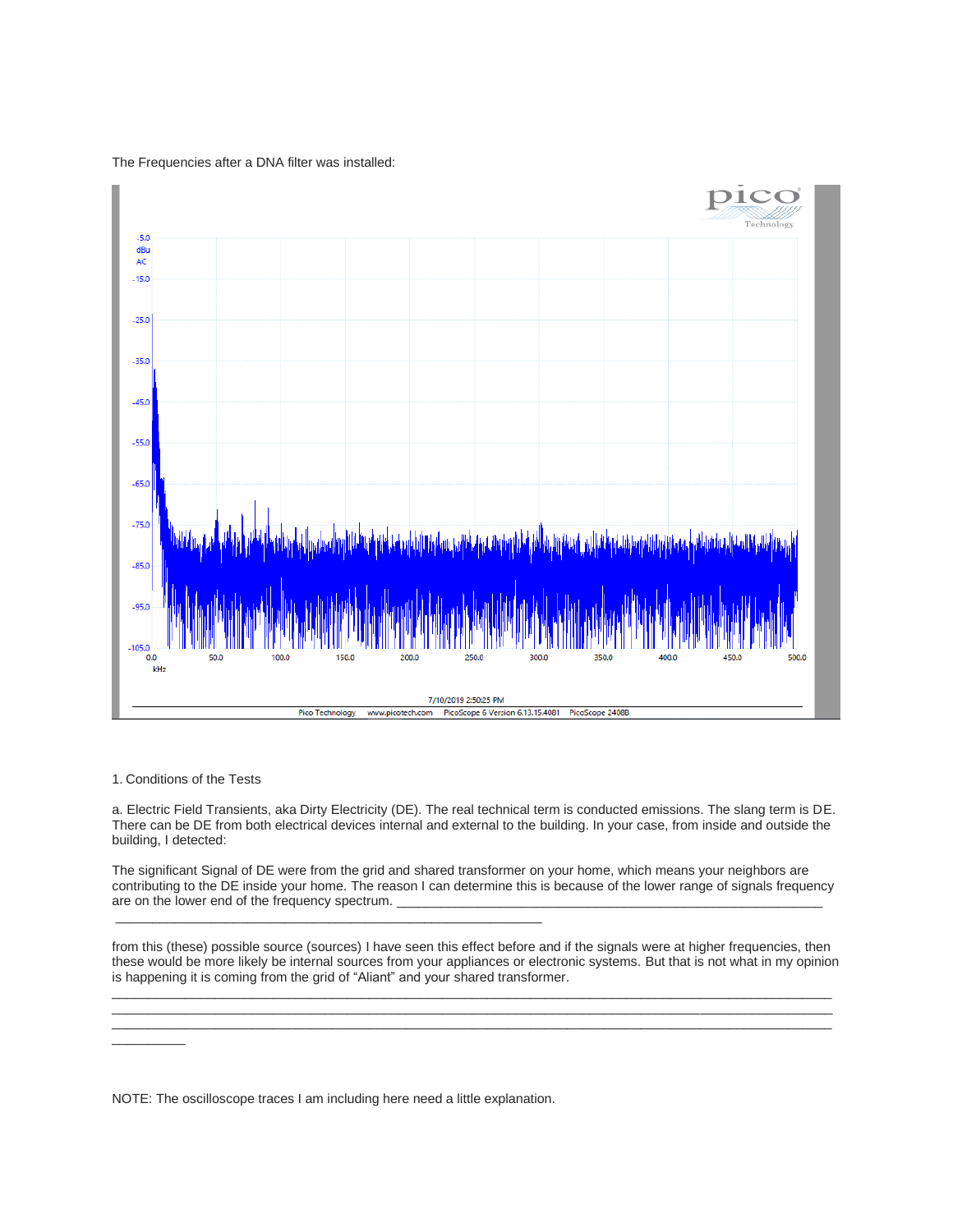The Frequencies after a DNA filter was installed:



1. Conditions of the Tests

a. Electric Field Transients, aka Dirty Electricity (DE). The real technical term is conducted emissions. The slang term is DE. There can be DE from both electrical devices internal and external to the building. In your case, from inside and outside the building, I detected:

The significant Signal of DE were from the grid and shared transformer on your home, which means your neighbors are contributing to the DE inside your home. The reason I can determine this is because of the lower range of signals frequency are on the lower end of the frequency spectrum.

from this (these) possible source (sources) I have seen this effect before and if the signals were at higher frequencies, then these would be more likely be internal sources from your appliances or electronic systems. But that is not what in my opinion is happening it is coming from the grid of "Aliant" and your shared transformer.

 $\Box$  . The contribution of the contribution of the contribution of the contribution of the contribution of the contribution of the contribution of the contribution of the contribution of the contribution of the contributi  $\Box$  . The contribution of the contribution of the contribution of the contribution of the contribution of the contribution of the contribution of the contribution of the contribution of the contribution of the contributi  $\Box$  . The contribution of the contribution of the contribution of the contribution of the contribution of the contribution of the contribution of the contribution of the contribution of the contribution of the contributi

 $\overline{\phantom{a}}$  . The contract of the contract of the contract of the contract of the contract of the contract of the contract of the contract of the contract of the contract of the contract of the contract of the contract of

NOTE: The oscilloscope traces I am including here need a little explanation.

\_\_\_\_\_\_\_\_\_\_\_\_\_\_\_\_\_\_\_\_\_\_\_\_\_\_\_\_\_\_\_\_\_\_\_\_\_\_\_\_\_\_\_\_\_\_\_\_\_\_\_\_\_\_\_\_\_\_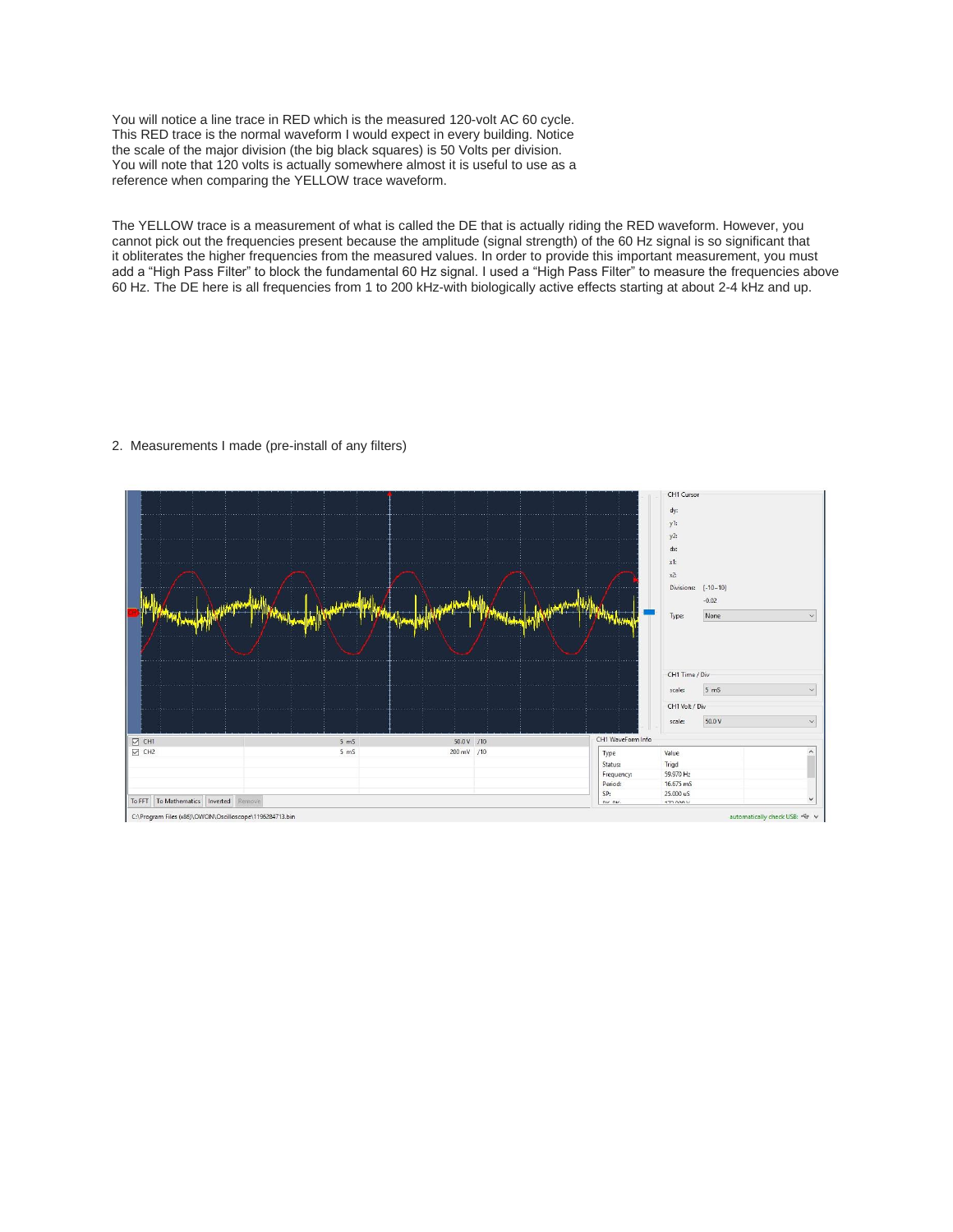You will notice a line trace in RED which is the measured 120-volt AC 60 cycle. This RED trace is the normal waveform I would expect in every building. Notice the scale of the major division (the big black squares) is 50 Volts per division. You will note that 120 volts is actually somewhere almost it is useful to use as a reference when comparing the YELLOW trace waveform.

The YELLOW trace is a measurement of what is called the DE that is actually riding the RED waveform. However, you cannot pick out the frequencies present because the amplitude (signal strength) of the 60 Hz signal is so significant that it obliterates the higher frequencies from the measured values. In order to provide this important measurement, you must add a "High Pass Filter" to block the fundamental 60 Hz signal. I used a "High Pass Filter" to measure the frequencies above 60 Hz. The DE here is all frequencies from 1 to 200 kHz-with biologically active effects starting at about 2-4 kHz and up.

# 2. Measurements I made (pre-install of any filters)

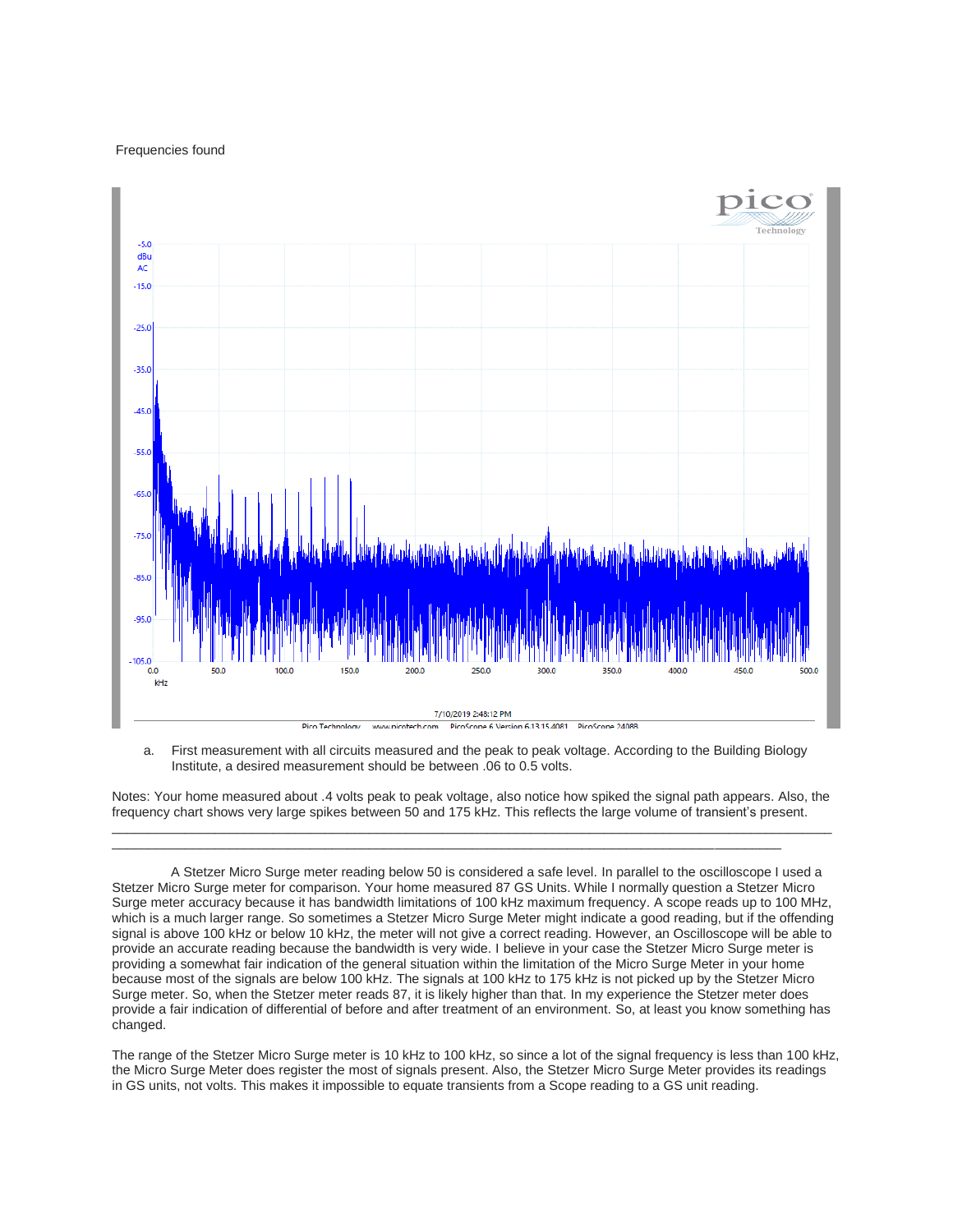### Frequencies found



a. First measurement with all circuits measured and the peak to peak voltage. According to the Building Biology Institute, a desired measurement should be between .06 to 0.5 volts.

Notes: Your home measured about .4 volts peak to peak voltage, also notice how spiked the signal path appears. Also, the frequency chart shows very large spikes between 50 and 175 kHz. This reflects the large volume of transient's present.  $\_$  ,  $\_$  ,  $\_$  ,  $\_$  ,  $\_$  ,  $\_$  ,  $\_$  ,  $\_$  ,  $\_$  ,  $\_$  ,  $\_$  ,  $\_$  ,  $\_$  ,  $\_$  ,  $\_$  ,  $\_$  ,  $\_$  ,  $\_$  ,  $\_$  ,  $\_$  ,  $\_$  ,  $\_$  ,  $\_$  ,  $\_$  ,  $\_$  ,  $\_$  ,  $\_$  ,  $\_$  ,  $\_$  ,  $\_$  ,  $\_$  ,  $\_$  ,  $\_$  ,  $\_$  ,  $\_$  ,  $\_$  ,  $\_$  ,

 $\overline{a}$  , and the state of the state of the state of the state of the state of the state of the state of the state of the state of the state of the state of the state of the state of the state of the state of the state o

 A Stetzer Micro Surge meter reading below 50 is considered a safe level. In parallel to the oscilloscope I used a Stetzer Micro Surge meter for comparison. Your home measured 87 GS Units. While I normally question a Stetzer Micro Surge meter accuracy because it has bandwidth limitations of 100 kHz maximum frequency. A scope reads up to 100 MHz, which is a much larger range. So sometimes a Stetzer Micro Surge Meter might indicate a good reading, but if the offending signal is above 100 kHz or below 10 kHz, the meter will not give a correct reading. However, an Oscilloscope will be able to provide an accurate reading because the bandwidth is very wide. I believe in your case the Stetzer Micro Surge meter is providing a somewhat fair indication of the general situation within the limitation of the Micro Surge Meter in your home because most of the signals are below 100 kHz. The signals at 100 kHz to 175 kHz is not picked up by the Stetzer Micro Surge meter. So, when the Stetzer meter reads 87, it is likely higher than that. In my experience the Stetzer meter does provide a fair indication of differential of before and after treatment of an environment. So, at least you know something has changed.

The range of the Stetzer Micro Surge meter is 10 kHz to 100 kHz, so since a lot of the signal frequency is less than 100 kHz, the Micro Surge Meter does register the most of signals present. Also, the Stetzer Micro Surge Meter provides its readings in GS units, not volts. This makes it impossible to equate transients from a Scope reading to a GS unit reading.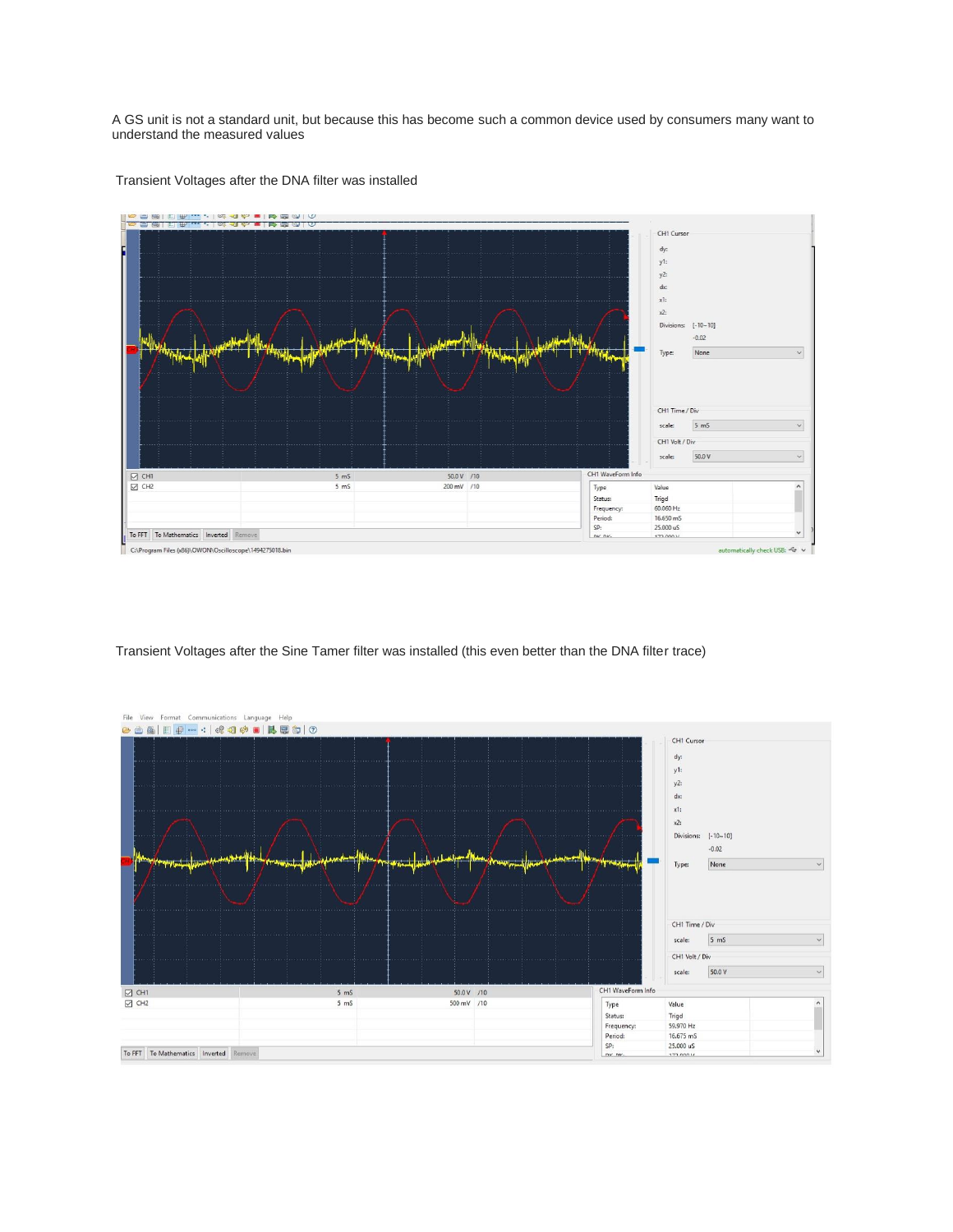A GS unit is not a standard unit, but because this has become such a common device used by consumers many want to understand the measured values



Transient Voltages after the DNA filter was installed

Transient Voltages after the Sine Tamer filter was installed (this even better than the DNA filter trace)

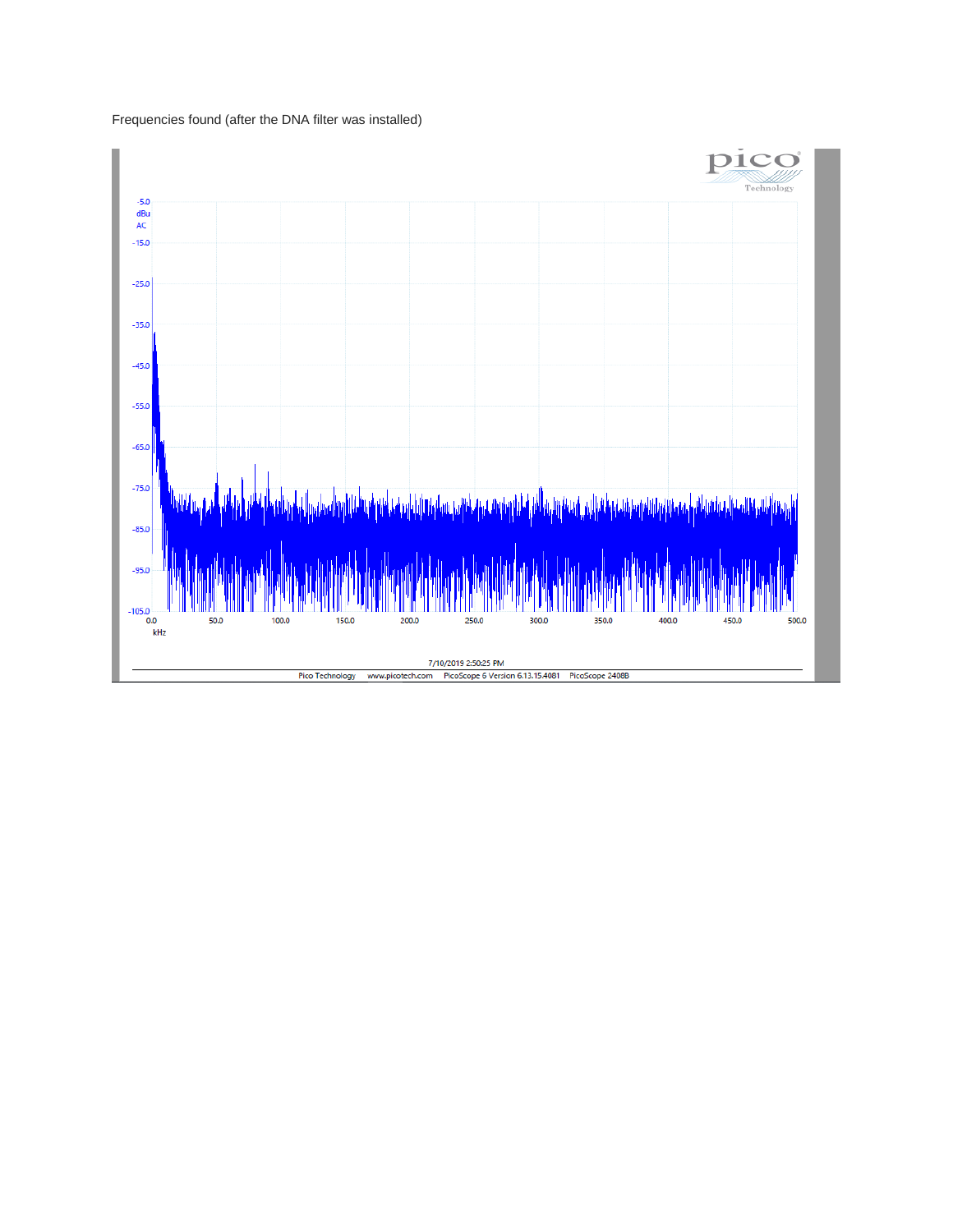Frequencies found (after the DNA filter was installed)

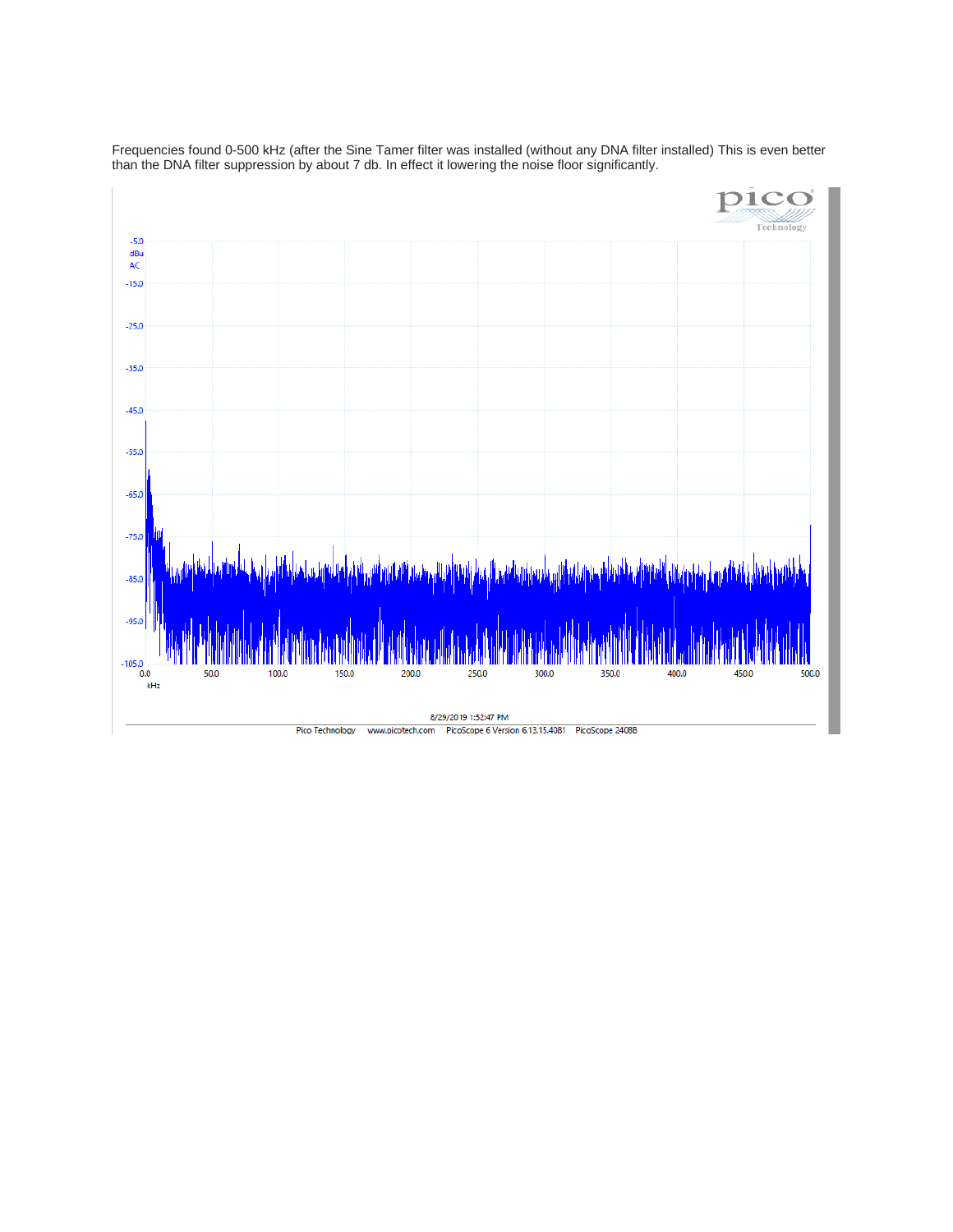

Frequencies found 0-500 kHz (after the Sine Tamer filter was installed (without any DNA filter installed) This is even better than the DNA filter suppression by about 7 db. In effect it lowering the noise floor significantly.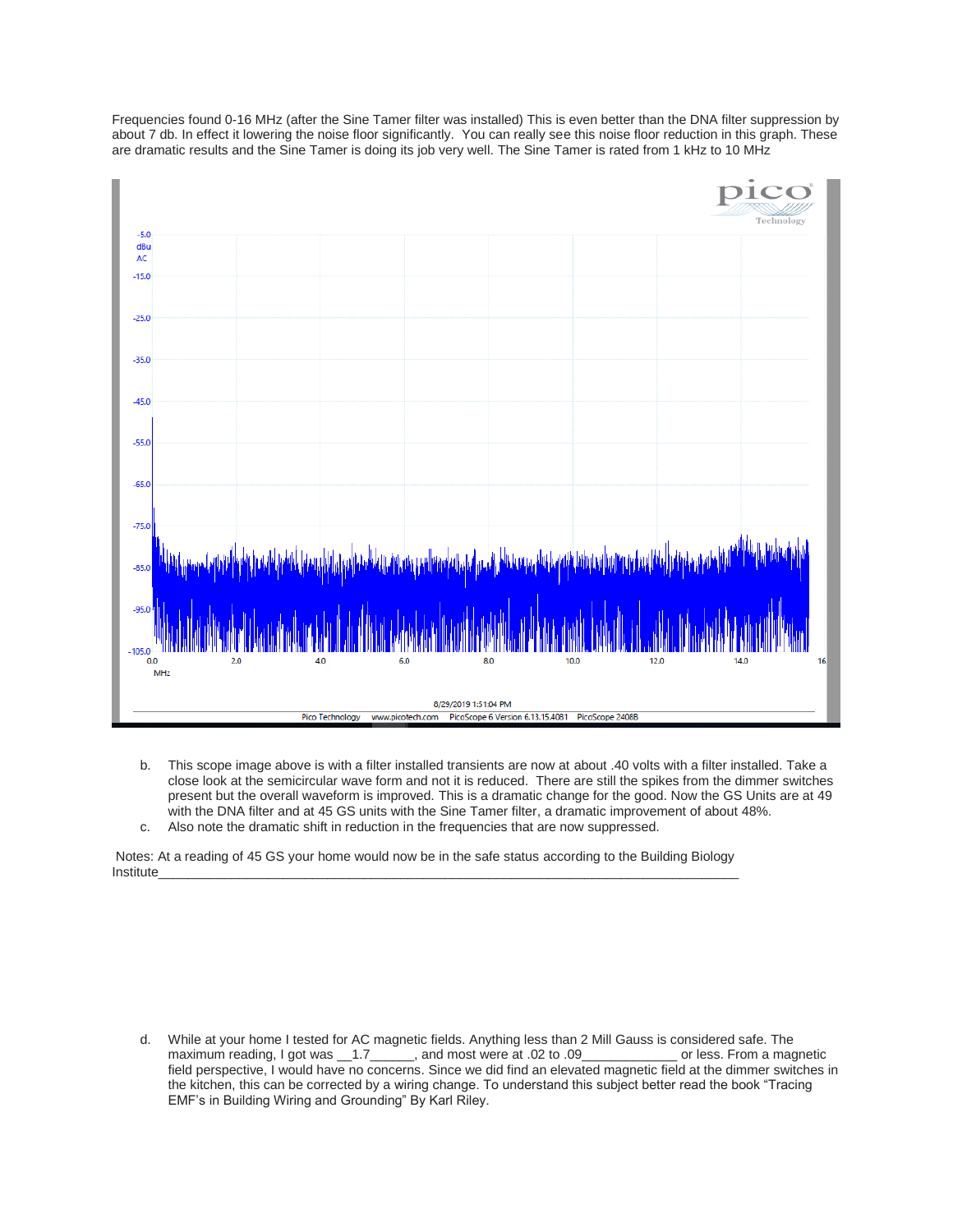Frequencies found 0-16 MHz (after the Sine Tamer filter was installed) This is even better than the DNA filter suppression by about 7 db. In effect it lowering the noise floor significantly. You can really see this noise floor reduction in this graph. These are dramatic results and the Sine Tamer is doing its job very well. The Sine Tamer is rated from 1 kHz to 10 MHz



b. This scope image above is with a filter installed transients are now at about .40 volts with a filter installed. Take a close look at the semicircular wave form and not it is reduced. There are still the spikes from the dimmer switches present but the overall waveform is improved. This is a dramatic change for the good. Now the GS Units are at 49 with the DNA filter and at 45 GS units with the Sine Tamer filter, a dramatic improvement of about 48%. c. Also note the dramatic shift in reduction in the frequencies that are now suppressed.

Notes: At a reading of 45 GS your home would now be in the safe status according to the Building Biology Institute\_\_\_\_\_\_\_\_\_\_\_\_\_\_\_\_\_\_\_\_\_\_\_\_\_\_\_\_\_\_\_\_\_\_\_\_\_\_\_\_\_\_\_\_\_\_\_\_\_\_\_\_\_\_\_\_\_\_\_\_\_\_\_\_\_\_\_\_\_\_\_\_\_\_\_\_\_\_\_

d. While at your home I tested for AC magnetic fields. Anything less than 2 Mill Gauss is considered safe. The maximum reading, I got was \_\_1.7\_\_\_\_\_\_, and most were at .02 to .09\_\_\_\_\_\_\_\_\_\_\_\_\_ or less. From a magnetic field perspective, I would have no concerns. Since we did find an elevated magnetic field at the dimmer switches in the kitchen, this can be corrected by a wiring change. To understand this subject better read the book "Tracing EMF's in Building Wiring and Grounding" By Karl Riley.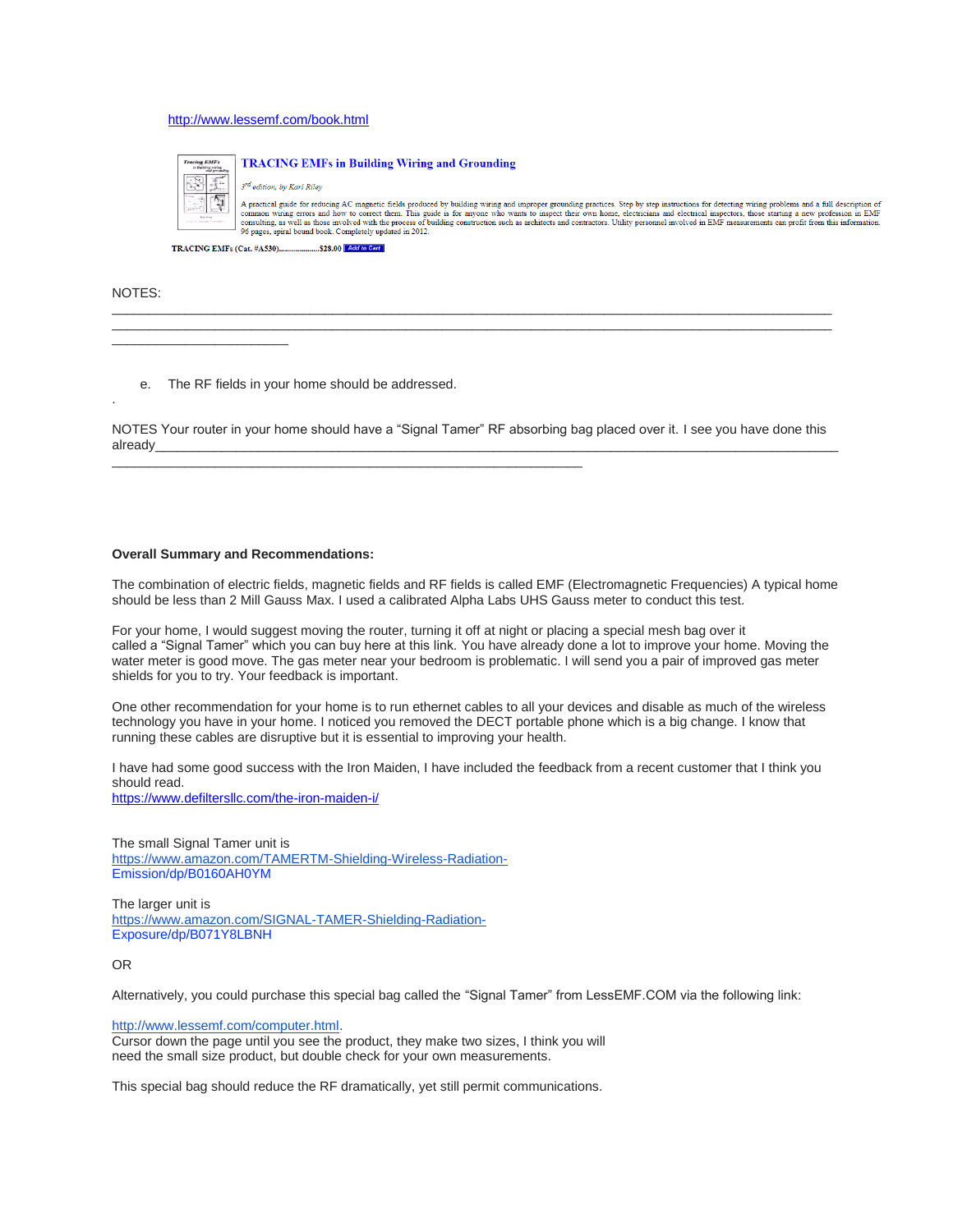### <http://www.lessemf.com/book.html>



#### NOTES:

.

\_\_\_\_\_\_\_\_\_\_\_\_\_\_\_\_\_\_\_\_\_\_\_\_

e. The RF fields in your home should be addressed.

\_\_\_\_\_\_\_\_\_\_\_\_\_\_\_\_\_\_\_\_\_\_\_\_\_\_\_\_\_\_\_\_\_\_\_\_\_\_\_\_\_\_\_\_\_\_\_\_\_\_\_\_\_\_\_\_\_\_\_\_\_\_\_\_

NOTES Your router in your home should have a "Signal Tamer" RF absorbing bag placed over it. I see you have done this already\_\_\_\_\_\_\_\_\_\_\_\_\_\_\_\_\_\_\_\_\_\_\_\_\_\_\_\_\_\_\_\_\_\_\_\_\_\_\_\_\_\_\_\_\_\_\_\_\_\_\_\_\_\_\_\_\_\_\_\_\_\_\_\_\_\_\_\_\_\_\_\_\_\_\_\_\_\_\_\_\_\_\_\_\_\_\_\_\_\_\_\_\_

 $\Box$  . The contribution of the contribution of the contribution of the contribution of the contribution of the contribution of the contribution of the contribution of the contribution of the contribution of the contributi  $\Box$  . The contribution of the contribution of the contribution of the contribution of the contribution of the contribution of the contribution of the contribution of the contribution of the contribution of the contributi

#### **Overall Summary and Recommendations:**

The combination of electric fields, magnetic fields and RF fields is called EMF (Electromagnetic Frequencies) A typical home should be less than 2 Mill Gauss Max. I used a calibrated Alpha Labs UHS Gauss meter to conduct this test.

For your home, I would suggest moving the router, turning it off at night or placing a special mesh bag over it called a "Signal Tamer" which you can buy here at this link. You have already done a lot to improve your home. Moving the water meter is good move. The gas meter near your bedroom is problematic. I will send you a pair of improved gas meter shields for you to try. Your feedback is important.

One other recommendation for your home is to run ethernet cables to all your devices and disable as much of the wireless technology you have in your home. I noticed you removed the DECT portable phone which is a big change. I know that running these cables are disruptive but it is essential to improving your health.

I have had some good success with the Iron Maiden, I have included the feedback from a recent customer that I think you should read.

<https://www.defiltersllc.com/the-iron-maiden-i/>

The small Signal Tamer unit is <https://www.amazon.com/TAMERTM-Shielding-Wireless-Radiation->Emission/dp/B0160AH0YM

The larger unit is <https://www.amazon.com/SIGNAL-TAMER-Shielding-Radiation->Exposure/dp/B071Y8LBNH

OR

Alternatively, you could purchase this special bag called the "Signal Tamer" from LessEMF.COM via the following link:

[http://www.lessemf.com/computer.html.](http://www.lessemf.com/computer.html)

Cursor down the page until you see the product, they make two sizes, I think you will need the small size product, but double check for your own measurements.

This special bag should reduce the RF dramatically, yet still permit communications.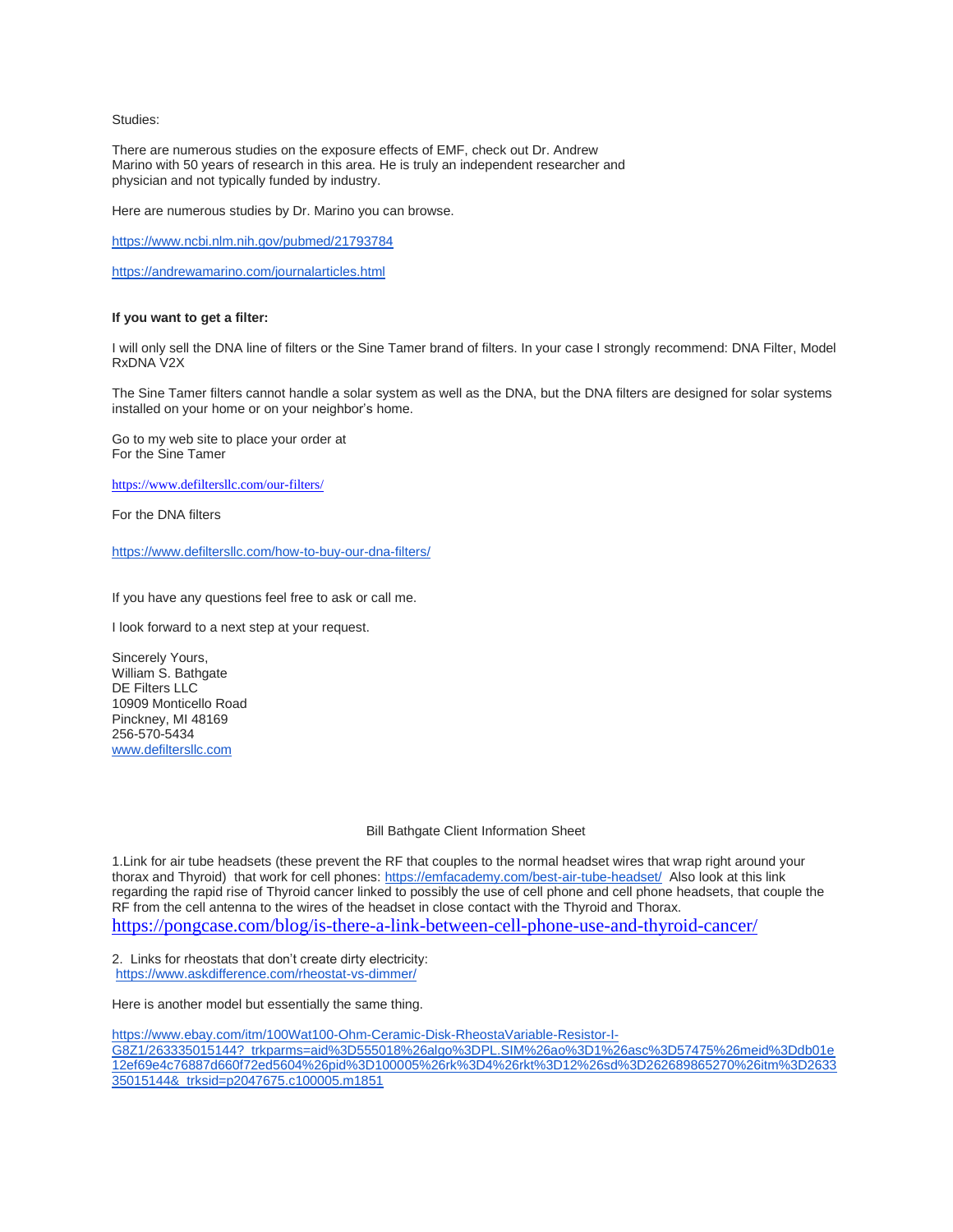#### Studies:

There are numerous studies on the exposure effects of EMF, check out Dr. Andrew Marino with 50 years of research in this area. He is truly an independent researcher and physician and not typically funded by industry.

Here are numerous studies by Dr. Marino you can browse.

<https://www.ncbi.nlm.nih.gov/pubmed/21793784>

<https://andrewamarino.com/journalarticles.html>

### **If you want to get a filter:**

I will only sell the DNA line of filters or the Sine Tamer brand of filters. In your case I strongly recommend: DNA Filter, Model RxDNA V2X

The Sine Tamer filters cannot handle a solar system as well as the DNA, but the DNA filters are designed for solar systems installed on your home or on your neighbor's home.

Go to my web site to place your order at For the Sine Tamer

<https://www.defiltersllc.com/our-filters/>

For the DNA filters

<https://www.defiltersllc.com/how-to-buy-our-dna-filters/>

If you have any questions feel free to ask or call me.

I look forward to a next step at your request.

Sincerely Yours, William S. Bathgate DE Filters LLC 10909 Monticello Road Pinckney, MI 48169 256-570-5434 [www.defiltersllc.com](http://www.defiltersllc.com/)

### Bill Bathgate Client Information Sheet

1.Link for air tube headsets (these prevent the RF that couples to the normal headset wires that wrap right around your thorax and Thyroid) that work for cell phones: <https://emfacademy.com/best-air-tube-headset/> Also look at this link regarding the rapid rise of Thyroid cancer linked to possibly the use of cell phone and cell phone headsets, that couple the RF from the cell antenna to the wires of the headset in close contact with the Thyroid and Thorax. <https://pongcase.com/blog/is-there-a-link-between-cell-phone-use-and-thyroid-cancer/>

2. Links for rheostats that don't create dirty electricity: <https://www.askdifference.com/rheostat-vs-dimmer/>

Here is another model but essentially the same thing.

[https://www.ebay.com/itm/100Wat100-Ohm-Ceramic-Disk-RheostaVariable-Resistor-I-](https://www.ebay.com/itm/100Wat100-Ohm-Ceramic-Disk-RheostaVariable-Resistor-I-G8Z1/263335015144?_trkparms=aid%3D555018%26algo%3DPL.SIM%26ao%3D1%26asc%3D57475%26meid%3Ddb01e12ef69e4c76887d660f72ed5604%26pid%3D100005%26rk%3D4%26rkt%3D12%26sd%3D262689865270%26itm%3D263335015144&_trksid=p2047675.c100005.m1851)

[G8Z1/263335015144?\\_trkparms=aid%3D555018%26algo%3DPL.SIM%26ao%3D1%26asc%3D57475%26meid%3Ddb01e](https://www.ebay.com/itm/100Wat100-Ohm-Ceramic-Disk-RheostaVariable-Resistor-I-G8Z1/263335015144?_trkparms=aid%3D555018%26algo%3DPL.SIM%26ao%3D1%26asc%3D57475%26meid%3Ddb01e12ef69e4c76887d660f72ed5604%26pid%3D100005%26rk%3D4%26rkt%3D12%26sd%3D262689865270%26itm%3D263335015144&_trksid=p2047675.c100005.m1851) [12ef69e4c76887d660f72ed5604%26pid%3D100005%26rk%3D4%26rkt%3D12%26sd%3D262689865270%26itm%3D2633](https://www.ebay.com/itm/100Wat100-Ohm-Ceramic-Disk-RheostaVariable-Resistor-I-G8Z1/263335015144?_trkparms=aid%3D555018%26algo%3DPL.SIM%26ao%3D1%26asc%3D57475%26meid%3Ddb01e12ef69e4c76887d660f72ed5604%26pid%3D100005%26rk%3D4%26rkt%3D12%26sd%3D262689865270%26itm%3D263335015144&_trksid=p2047675.c100005.m1851) [35015144&\\_trksid=p2047675.c100005.m1851](https://www.ebay.com/itm/100Wat100-Ohm-Ceramic-Disk-RheostaVariable-Resistor-I-G8Z1/263335015144?_trkparms=aid%3D555018%26algo%3DPL.SIM%26ao%3D1%26asc%3D57475%26meid%3Ddb01e12ef69e4c76887d660f72ed5604%26pid%3D100005%26rk%3D4%26rkt%3D12%26sd%3D262689865270%26itm%3D263335015144&_trksid=p2047675.c100005.m1851)